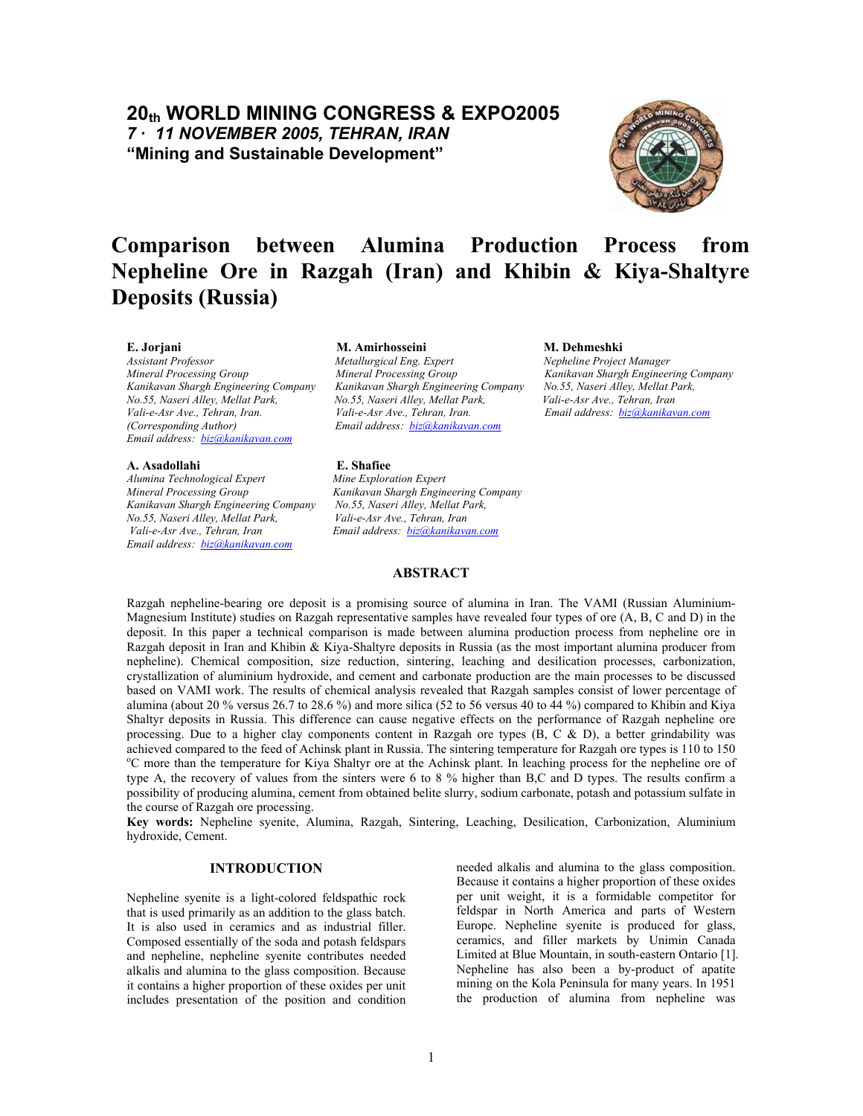## **20th WORLD MINING CONGRESS & EXPO2005**  *7 – 11 NOVEMBER 2005, TEHRAN, IRAN*  **"Mining and Sustainable Development"**



# **Comparison between Alumina Production Process from Nepheline Ore in Razgah (Iran) and Khibin & Kiya-Shaltyre Deposits (Russia)**

*Email address: [biz@kanikavan.com](mailto:biz@kanikavan.com)*

#### **A. Asadollahi E. Shafiee**

*Alumina Technological Expert Mine Exploration Expert Kanikavan Shargh Engineering Company No.55, Naseri Alley, Mellat Park, No.55, Naseri Alley, Mellat Park, Vali-e-Asr Ave., Tehran, Iran Vali-e-Asr Ave., Tehran, Iran Email address: [biz@kanikavan.com](mailto:biz@kanikavan.com) Email address: [biz@kanikavan.com](mailto:biz@kanikavan.com)*

#### **E. Jorjani M. Amirhosseini M. Dehmeshki**

*Assistant Professor Metallurgical Eng. Expert Nepheline Project Manager Mineral Processing Group Mineral Processing Group Kanikavan Shargh Engineering Company Kanikavan Shargh Engineering Company Kanikavan Shargh Engineering Company No.55, Naseri Alley, Mellat Park, No.55, Naseri Alley, Mellat Park, No.55, Naseri Alley, Mellat Park, Vali-e-Asr Ave., Tehran, Iran Vali-e-Asr Ave., Tehran, Iran. Vali-e-Asr Ave., Tehran, Iran. Email address: [biz@kanikavan.com](mailto:biz@kanikavan.com) (Corresponding Author) Email address: [biz@kanikavan.com](mailto:biz@kanikavan.com)*

*Mineral Processing Group Kanikavan Shargh Engineering Company* 

### **ABSTRACT**

Razgah nepheline-bearing ore deposit is a promising source of alumina in Iran. The VAMI (Russian Aluminium-Magnesium Institute) studies on Razgah representative samples have revealed four types of ore (A, B, C and D) in the deposit. In this paper a technical comparison is made between alumina production process from nepheline ore in Razgah deposit in Iran and Khibin & Kiya-Shaltyre deposits in Russia (as the most important alumina producer from nepheline). Chemical composition, size reduction, sintering, leaching and desilication processes, carbonization, crystallization of aluminium hydroxide, and cement and carbonate production are the main processes to be discussed based on VAMI work. The results of chemical analysis revealed that Razgah samples consist of lower percentage of alumina (about 20 % versus 26.7 to 28.6 %) and more silica (52 to 56 versus 40 to 44 %) compared to Khibin and Kiya Shaltyr deposits in Russia. This difference can cause negative effects on the performance of Razgah nepheline ore processing. Due to a higher clay components content in Razgah ore types (B, C & D), a better grindability was achieved compared to the feed of Achinsk plant in Russia. The sintering temperature for Razgah ore types is 110 to 150 C more than the temperature for Kiya Shaltyr ore at the Achinsk plant. In leaching process for the nepheline ore of type A, the recovery of values from the sinters were 6 to 8 % higher than B,C and D types. The results confirm a possibility of producing alumina, cement from obtained belite slurry, sodium carbonate, potash and potassium sulfate in the course of Razgah ore processing.

**Key words:** Nepheline syenite, Alumina, Razgah, Sintering, Leaching, Desilication, Carbonization, Aluminium hydroxide, Cement.

### **INTRODUCTION**

Nepheline syenite is a light-colored feldspathic rock that is used primarily as an addition to the glass batch. It is also used in ceramics and as industrial filler. Composed essentially of the soda and potash feldspars and nepheline, nepheline syenite contributes needed alkalis and alumina to the glass composition. Because it contains a higher proportion of these oxides per unit includes presentation of the position and condition

needed alkalis and alumina to the glass composition. Because it contains a higher proportion of these oxides per unit weight, it is a formidable competitor for feldspar in North America and parts of Western Europe. Nepheline syenite is produced for glass, ceramics, and filler markets by Unimin Canada Limited at Blue Mountain, in south-eastern Ontario [1]. Nepheline has also been a by-product of apatite mining on the Kola Peninsula for many years. In 1951 the production of alumina from nepheline was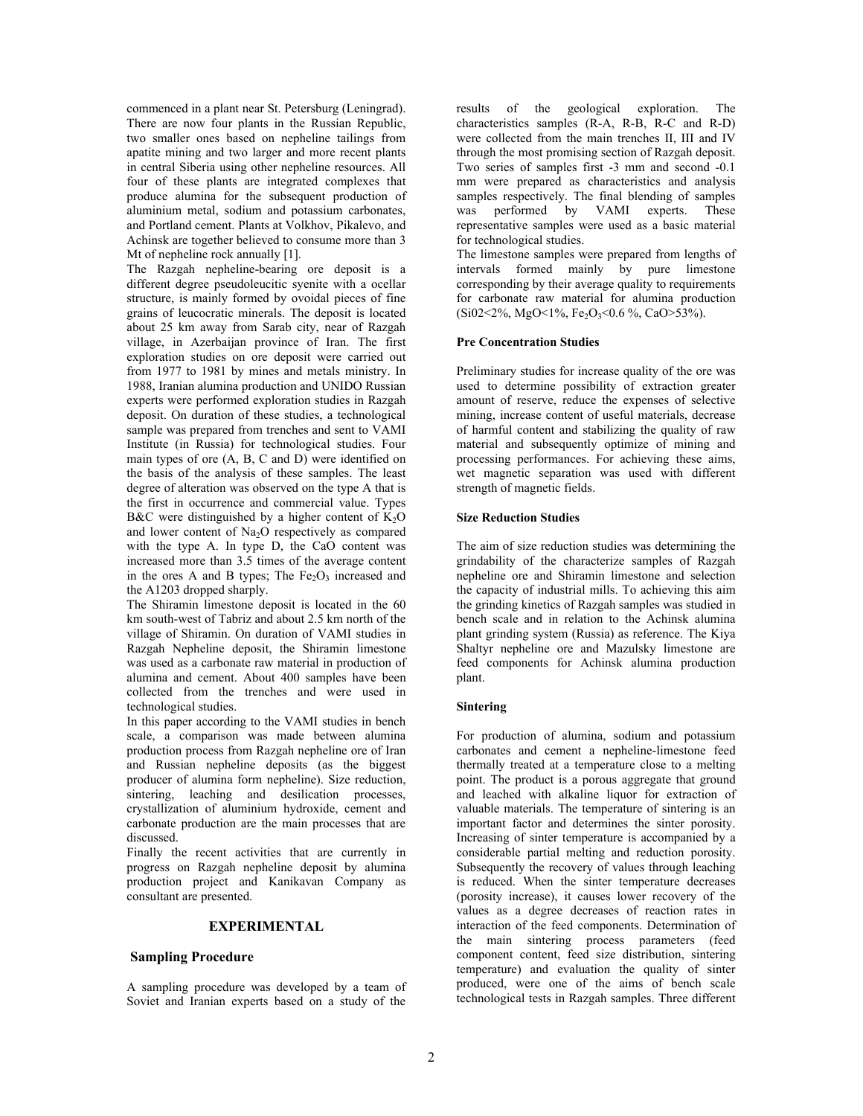commenced in a plant near St. Petersburg (Leningrad). There are now four plants in the Russian Republic, two smaller ones based on nepheline tailings from apatite mining and two larger and more recent plants in central Siberia using other nepheline resources. All four of these plants are integrated complexes that produce alumina for the subsequent production of aluminium metal, sodium and potassium carbonates, and Portland cement. Plants at Volkhov, Pikalevo, and Achinsk are together believed to consume more than 3 Mt of nepheline rock annually [1].

The Razgah nepheline-bearing ore deposit is a different degree pseudoleucitic syenite with a ocellar structure, is mainly formed by ovoidal pieces of fine grains of leucocratic minerals. The deposit is located about 25 km away from Sarab city, near of Razgah village, in Azerbaijan province of Iran. The first exploration studies on ore deposit were carried out from 1977 to 1981 by mines and metals ministry. In 1988, Iranian alumina production and UNIDO Russian experts were performed exploration studies in Razgah deposit. On duration of these studies, a technological sample was prepared from trenches and sent to VAMI Institute (in Russia) for technological studies. Four main types of ore (A, B, C and D) were identified on the basis of the analysis of these samples. The least degree of alteration was observed on the type A that is the first in occurrence and commercial value. Types B&C were distinguished by a higher content of  $K_2O$ and lower content of  $Na<sub>2</sub>O$  respectively as compared with the type A. In type D, the CaO content was increased more than 3.5 times of the average content in the ores A and B types; The  $Fe<sub>2</sub>O<sub>3</sub>$  increased and the A1203 dropped sharply.

The Shiramin limestone deposit is located in the 60 km south-west of Tabriz and about 2.5 km north of the village of Shiramin. On duration of VAMI studies in Razgah Nepheline deposit, the Shiramin limestone was used as a carbonate raw material in production of alumina and cement. About 400 samples have been collected from the trenches and were used in technological studies.

In this paper according to the VAMI studies in bench scale, a comparison was made between alumina production process from Razgah nepheline ore of Iran and Russian nepheline deposits (as the biggest producer of alumina form nepheline). Size reduction, sintering, leaching and desilication processes, crystallization of aluminium hydroxide, cement and carbonate production are the main processes that are discussed.

Finally the recent activities that are currently in progress on Razgah nepheline deposit by alumina production project and Kanikavan Company as consultant are presented.

#### **EXPERIMENTAL**

#### **Sampling Procedure**

A sampling procedure was developed by a team of Soviet and Iranian experts based on a study of the

results of the geological exploration. The characteristics samples (R-A, R-B, R-C and R-D) were collected from the main trenches II, III and IV through the most promising section of Razgah deposit. Two series of samples first -3 mm and second -0.1 mm were prepared as characteristics and analysis samples respectively. The final blending of samples was performed by VAMI experts. These representative samples were used as a basic material for technological studies.

The limestone samples were prepared from lengths of intervals formed mainly by pure limestone corresponding by their average quality to requirements for carbonate raw material for alumina production  $(Si02<2\%$ , MgO < 1%, Fe<sub>2</sub>O<sub>3</sub> < 0.6 %, CaO > 53%).

#### **Pre Concentration Studies**

Preliminary studies for increase quality of the ore was used to determine possibility of extraction greater amount of reserve, reduce the expenses of selective mining, increase content of useful materials, decrease of harmful content and stabilizing the quality of raw material and subsequently optimize of mining and processing performances. For achieving these aims, wet magnetic separation was used with different strength of magnetic fields.

#### **Size Reduction Studies**

The aim of size reduction studies was determining the grindability of the characterize samples of Razgah nepheline ore and Shiramin limestone and selection the capacity of industrial mills. To achieving this aim the grinding kinetics of Razgah samples was studied in bench scale and in relation to the Achinsk alumina plant grinding system (Russia) as reference. The Kiya Shaltyr nepheline ore and Mazulsky limestone are feed components for Achinsk alumina production plant.

#### **Sintering**

For production of alumina, sodium and potassium carbonates and cement a nepheline-limestone feed thermally treated at a temperature close to a melting point. The product is a porous aggregate that ground and leached with alkaline liquor for extraction of valuable materials. The temperature of sintering is an important factor and determines the sinter porosity. Increasing of sinter temperature is accompanied by a considerable partial melting and reduction porosity. Subsequently the recovery of values through leaching is reduced. When the sinter temperature decreases (porosity increase), it causes lower recovery of the values as a degree decreases of reaction rates in interaction of the feed components. Determination of the main sintering process parameters (feed component content, feed size distribution, sintering temperature) and evaluation the quality of sinter produced, were one of the aims of bench scale technological tests in Razgah samples. Three different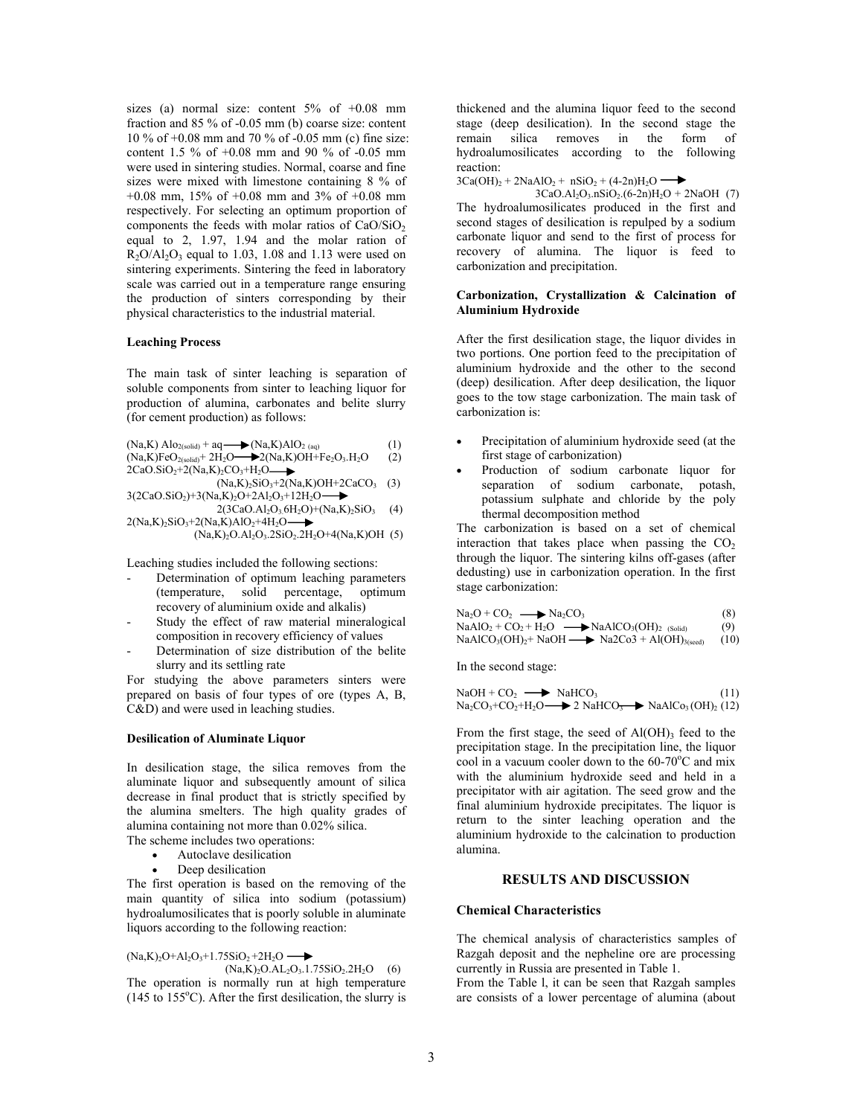sizes (a) normal size: content  $5\%$  of  $+0.08$  mm fraction and 85 % of -0.05 mm (b) coarse size: content 10 % of +0.08 mm and 70 % of -0.05 mm (c) fine size: content 1.5 % of +0.08 mm and 90 % of -0.05 mm were used in sintering studies. Normal, coarse and fine sizes were mixed with limestone containing 8 % of +0.08 mm, 15% of +0.08 mm and 3% of +0.08 mm respectively. For selecting an optimum proportion of components the feeds with molar ratios of  $CaO/SiO<sub>2</sub>$ equal to 2, 1.97, 1.94 and the molar ration of  $R_2O/Al_2O_3$  equal to 1.03, 1.08 and 1.13 were used on sintering experiments. Sintering the feed in laboratory scale was carried out in a temperature range ensuring the production of sinters corresponding by their physical characteristics to the industrial material.

#### **Leaching Process**

The main task of sinter leaching is separation of soluble components from sinter to leaching liquor for production of alumina, carbonates and belite slurry (for cement production) as follows:

 $(Na,K)$  Alo<sub>2(solid)</sub> + aq  $\longrightarrow$   $(Na,K)$ AlO<sub>2(aq)</sub> (1)

$$
(Na,K)FeO2(solid + 2H2O \t\t\t\t\t\t\t\t\t\t\t\t\t+ 2(Na,K)OH + Fe2O3, H2O (2)2CaO.SiO2+2(Na,K)2CO3+H2O \t\t\t\t\t\t\t\t\t\t\t\t\t\t\t\t\t\t\t\t\t\t\t\t\t\t\t\t\t+ 2(3n,K)CO3 + H2O
$$

$$
(Na,K)_2SiO_3+2(Na,K)OH+2CaCO_3
$$
  
\n
$$
(Na,K)_2SiO_3+2(Na,K)OH+2CaCO_3
$$
  
\n
$$
3(2CaO.SiO_2)+3(Na,K)_2O+2Al_2O_3+12H_2O
$$

$$
2(3CaO.AI_2O_3.6H_2O) + (Na,K)_2SiO_3 \quad (4)
$$
  
2(Na,K)\_2SiO<sub>3</sub>+2(Na,K)\_AIO\_2+4H\_2O

(Na,K)<sub>2</sub>O.Al<sub>2</sub>O<sub>3</sub>.2SiO<sub>2</sub>.2H<sub>2</sub>O+4(Na,K)OH (5)

Leaching studies included the following sections:

- Determination of optimum leaching parameters (temperature, solid percentage, optimum recovery of aluminium oxide and alkalis)
- Study the effect of raw material mineralogical composition in recovery efficiency of values
- Determination of size distribution of the belite slurry and its settling rate

For studying the above parameters sinters were prepared on basis of four types of ore (types A, B, C&D) and were used in leaching studies.

#### **Desilication of Aluminate Liquor**

In desilication stage, the silica removes from the aluminate liquor and subsequently amount of silica decrease in final product that is strictly specified by the alumina smelters. The high quality grades of alumina containing not more than 0.02% silica.

The scheme includes two operations:

- Autoclave desilication
- Deep desilication

The first operation is based on the removing of the main quantity of silica into sodium (potassium) hydroalumosilicates that is poorly soluble in aluminate liquors according to the following reaction:

 $(Na,K)_2O+A1_2O_3+1.75SiO_2+2H_2O \longrightarrow$ 

 $(Na,K)<sub>2</sub>O.AL<sub>2</sub>O<sub>3</sub>.1.75SiO<sub>2</sub>.2H<sub>2</sub>O (6)$ The operation is normally run at high temperature  $(145 \text{ to } 155^{\circ}\text{C})$ . After the first desilication, the slurry is

thickened and the alumina liquor feed to the second stage (deep desilication). In the second stage the remain silica removes in the form of hydroalumosilicates according to the following reaction:

 $3Ca(OH)<sub>2</sub> + 2NaAlO<sub>2</sub> + nSiO<sub>2</sub> + (4-2n)H<sub>2</sub>O$   $\longrightarrow$ 

 $3CaO.AI_2O_3.nSiO_2.(6-2n)H_2O + 2NaOH$  (7) The hydroalumosilicates produced in the first and second stages of desilication is repulped by a sodium carbonate liquor and send to the first of process for recovery of alumina. The liquor is feed to carbonization and precipitation.

#### **Carbonization, Crystallization & Calcination of Aluminium Hydroxide**

After the first desilication stage, the liquor divides in two portions. One portion feed to the precipitation of aluminium hydroxide and the other to the second (deep) desilication. After deep desilication, the liquor goes to the tow stage carbonization. The main task of carbonization is:

- Precipitation of aluminium hydroxide seed (at the first stage of carbonization)
- Production of sodium carbonate liquor for separation of sodium carbonate, potash, potassium sulphate and chloride by the poly thermal decomposition method

The carbonization is based on a set of chemical interaction that takes place when passing the  $CO<sub>2</sub>$ through the liquor. The sintering kilns off-gases (after dedusting) use in carbonization operation. In the first stage carbonization:

$$
Na2O + CO2 \longrightarrow Na2CO3 (8)
$$
  
\n
$$
NaAlO2 + CO2 + H2O \longrightarrow NaAlCO3(OH)2 (Solid) (9)
$$

 $NaAICO<sub>3</sub>(OH)<sub>2</sub> + NaOH \longrightarrow Na2Co3 + Al(OH)<sub>3</sub>(seed)$  (10)

In the second stage:

$$
NaOH + CO2 \longrightarrow NaHCO3 \qquad (11)
$$
  
\n
$$
Na2CO3+CO2+H2O \longrightarrow 2 NaHCO3 \longrightarrow NaAlCo3(OH)2(12)
$$

From the first stage, the seed of  $Al(OH)$ <sub>3</sub> feed to the precipitation stage. In the precipitation line, the liquor cool in a vacuum cooler down to the  $60-70^{\circ}$ C and mix with the aluminium hydroxide seed and held in a precipitator with air agitation. The seed grow and the final aluminium hydroxide precipitates. The liquor is return to the sinter leaching operation and the aluminium hydroxide to the calcination to production alumina.

#### **RESULTS AND DISCUSSION**

#### **Chemical Characteristics**

The chemical analysis of characteristics samples of Razgah deposit and the nepheline ore are processing currently in Russia are presented in Table 1.

From the Table l, it can be seen that Razgah samples are consists of a lower percentage of alumina (about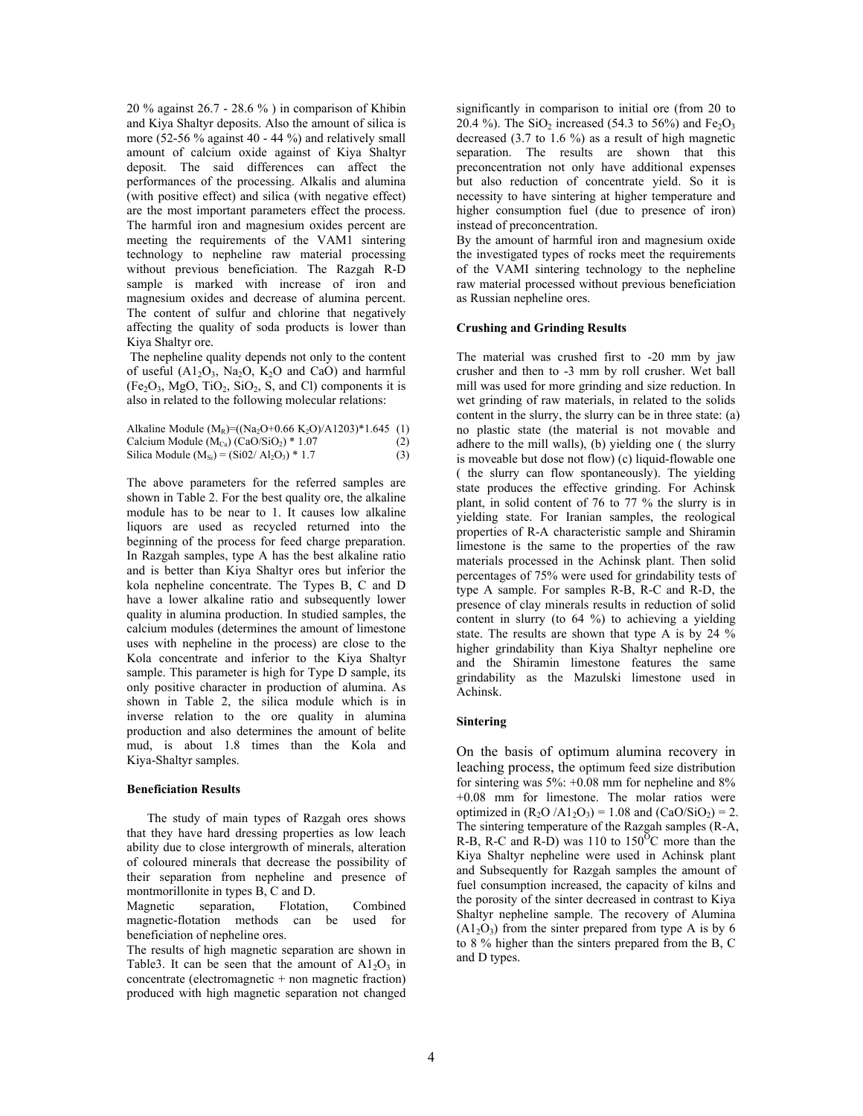20 % against 26.7 - 28.6 % ) in comparison of Khibin and Kiya Shaltyr deposits. Also the amount of silica is more (52-56 % against 40 - 44 %) and relatively small amount of calcium oxide against of Kiya Shaltyr deposit. The said differences can affect the performances of the processing. Alkalis and alumina (with positive effect) and silica (with negative effect) are the most important parameters effect the process. The harmful iron and magnesium oxides percent are meeting the requirements of the VAM1 sintering technology to nepheline raw material processing without previous beneficiation. The Razgah R-D sample is marked with increase of iron and magnesium oxides and decrease of alumina percent. The content of sulfur and chlorine that negatively affecting the quality of soda products is lower than Kiya Shaltyr ore.

The nepheline quality depends not only to the content of useful  $(A1_2O_3, Na_2O, K_2O$  and CaO) and harmful  $(Fe<sub>2</sub>O<sub>3</sub>, MgO, TiO<sub>2</sub>, SiO<sub>2</sub>, S, and Cl) components it is$ also in related to the following molecular relations:

| Alkaline Module (M <sub>R</sub> )=((Na <sub>2</sub> O+0.66 K <sub>2</sub> O)/A1203)*1.645 (1) |     |
|-----------------------------------------------------------------------------------------------|-----|
| Calcium Module $(M_{Ca})$ (CaO/SiO <sub>2</sub> ) * 1.07                                      | (2) |
| Silica Module $(M_{Si}) = (Si02/Al_2O_3) * 1.7$                                               | (3) |

The above parameters for the referred samples are shown in Table 2. For the best quality ore, the alkaline module has to be near to 1. It causes low alkaline liquors are used as recycled returned into the beginning of the process for feed charge preparation. In Razgah samples, type A has the best alkaline ratio and is better than Kiya Shaltyr ores but inferior the kola nepheline concentrate. The Types B, C and D have a lower alkaline ratio and subsequently lower quality in alumina production. In studied samples, the calcium modules (determines the amount of limestone uses with nepheline in the process) are close to the Kola concentrate and inferior to the Kiya Shaltyr sample. This parameter is high for Type D sample, its only positive character in production of alumina. As shown in Table 2, the silica module which is in inverse relation to the ore quality in alumina production and also determines the amount of belite mud, is about 1.8 times than the Kola and Kiya-Shaltyr samples.

#### **Beneficiation Results**

The study of main types of Razgah ores shows that they have hard dressing properties as low leach ability due to close intergrowth of minerals, alteration of coloured minerals that decrease the possibility of their separation from nepheline and presence of montmorillonite in types B, C and D.

Magnetic separation, Flotation, Combined magnetic-flotation methods can be used for beneficiation of nepheline ores.

The results of high magnetic separation are shown in Table3. It can be seen that the amount of  $A1_2O_3$  in  $concentrate (electromagnetic + non magnetic fraction)$ produced with high magnetic separation not changed

significantly in comparison to initial ore (from 20 to 20.4 %). The SiO<sub>2</sub> increased (54.3 to 56%) and Fe<sub>2</sub>O<sub>3</sub> decreased  $(3.7 \text{ to } 1.6 \%)$  as a result of high magnetic separation. The results are shown that this preconcentration not only have additional expenses but also reduction of concentrate yield. So it is necessity to have sintering at higher temperature and higher consumption fuel (due to presence of iron) instead of preconcentration.

By the amount of harmful iron and magnesium oxide the investigated types of rocks meet the requirements of the VAMI sintering technology to the nepheline raw material processed without previous beneficiation as Russian nepheline ores.

#### **Crushing and Grinding Results**

The material was crushed first to -20 mm by jaw crusher and then to -3 mm by roll crusher. Wet ball mill was used for more grinding and size reduction. In wet grinding of raw materials, in related to the solids content in the slurry, the slurry can be in three state: (a) no plastic state (the material is not movable and adhere to the mill walls), (b) yielding one ( the slurry is moveable but dose not flow) (c) liquid-flowable one ( the slurry can flow spontaneously). The yielding state produces the effective grinding. For Achinsk plant, in solid content of 76 to 77 % the slurry is in yielding state. For Iranian samples, the reological properties of R-A characteristic sample and Shiramin limestone is the same to the properties of the raw materials processed in the Achinsk plant. Then solid percentages of 75% were used for grindability tests of type A sample. For samples R-B, R-C and R-D, the presence of clay minerals results in reduction of solid content in slurry (to 64 %) to achieving a yielding state. The results are shown that type A is by 24 % higher grindability than Kiya Shaltyr nepheline ore and the Shiramin limestone features the same grindability as the Mazulski limestone used in Achinsk.

#### **Sintering**

On the basis of optimum alumina recovery in leaching process, the optimum feed size distribution for sintering was 5%: +0.08 mm for nepheline and 8% +0.08 mm for limestone. The molar ratios were optimized in  $(R_2O/A1_2O_3) = 1.08$  and  $(CaO/SiO_2) = 2$ . The sintering temperature of the Razgah samples (R-A, R-B, R-C and R-D) was 110 to  $150^{\circ}$ C more than the Kiya Shaltyr nepheline were used in Achinsk plant and Subsequently for Razgah samples the amount of fuel consumption increased, the capacity of kilns and the porosity of the sinter decreased in contrast to Kiya Shaltyr nepheline sample. The recovery of Alumina  $(A1<sub>2</sub>O<sub>3</sub>)$  from the sinter prepared from type A is by 6 to 8 % higher than the sinters prepared from the B, C and D types.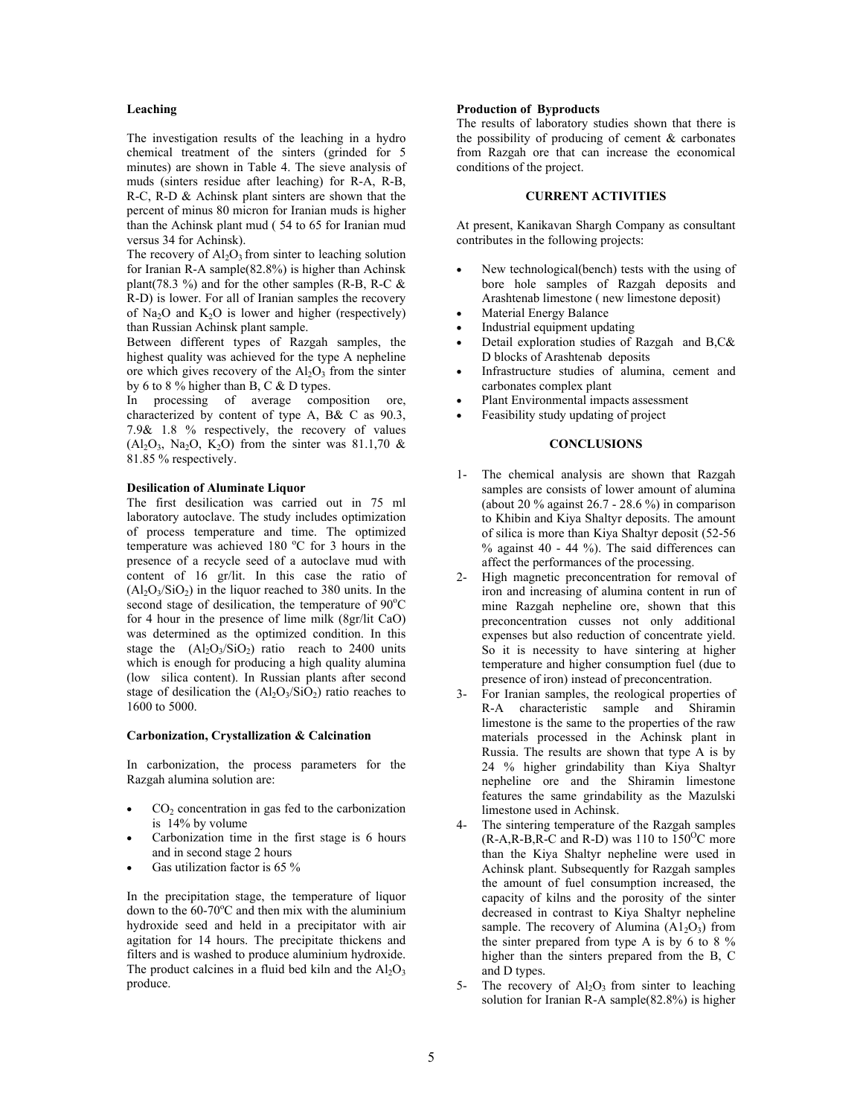#### **Leaching**

The investigation results of the leaching in a hydro chemical treatment of the sinters (grinded for 5 minutes) are shown in Table 4. The sieve analysis of muds (sinters residue after leaching) for R-A, R-B, R-C, R-D & Achinsk plant sinters are shown that the percent of minus 80 micron for Iranian muds is higher than the Achinsk plant mud ( 54 to 65 for Iranian mud versus 34 for Achinsk).

The recovery of  $Al_2O_3$  from sinter to leaching solution for Iranian R-A sample(82.8%) is higher than Achinsk plant(78.3 %) and for the other samples (R-B, R-C  $\&$ R-D) is lower. For all of Iranian samples the recovery of Na<sub>2</sub>O and K<sub>2</sub>O is lower and higher (respectively) than Russian Achinsk plant sample.

Between different types of Razgah samples, the highest quality was achieved for the type A nepheline ore which gives recovery of the  $Al_2O_3$  from the sinter by 6 to 8 % higher than B, C & D types.

In processing of average composition ore, characterized by content of type A, B& C as 90.3, 7.9& 1.8 % respectively, the recovery of values  $(A<sub>1</sub>, O<sub>3</sub>, Na<sub>2</sub>O, K<sub>2</sub>O)$  from the sinter was 81.1,70 & 81.85 % respectively.

#### **Desilication of Aluminate Liquor**

The first desilication was carried out in 75 ml laboratory autoclave. The study includes optimization of process temperature and time. The optimized temperature was achieved 180 °C for 3 hours in the presence of a recycle seed of a autoclave mud with content of 16 gr/lit. In this case the ratio of  $(Al_2O_3/SiO_2)$  in the liquor reached to 380 units. In the second stage of desilication, the temperature of 90°C for 4 hour in the presence of lime milk (8gr/lit CaO) was determined as the optimized condition. In this stage the  $(Al_2O_3/SiO_2)$  ratio reach to 2400 units which is enough for producing a high quality alumina (low silica content). In Russian plants after second stage of desilication the  $(A_1, O_3/SiO_2)$  ratio reaches to 1600 to 5000.

#### **Carbonization, Crystallization & Calcination**

In carbonization, the process parameters for the Razgah alumina solution are:

- $CO<sub>2</sub>$  concentration in gas fed to the carbonization is 14% by volume
- Carbonization time in the first stage is 6 hours and in second stage 2 hours
- Gas utilization factor is 65 %

In the precipitation stage, the temperature of liquor down to the  $60-70^{\circ}$ C and then mix with the aluminium hydroxide seed and held in a precipitator with air agitation for 14 hours. The precipitate thickens and filters and is washed to produce aluminium hydroxide. The product calcines in a fluid bed kiln and the  $Al_2O_3$ produce.

#### **Production of Byproducts**

The results of laboratory studies shown that there is the possibility of producing of cement  $\&$  carbonates from Razgah ore that can increase the economical conditions of the project.

#### **CURRENT ACTIVITIES**

At present, Kanikavan Shargh Company as consultant contributes in the following projects:

- New technological(bench) tests with the using of bore hole samples of Razgah deposits and Arashtenab limestone ( new limestone deposit)
- Material Energy Balance
- Industrial equipment updating
- Detail exploration studies of Razgah and B,C& D blocks of Arashtenab deposits
- Infrastructure studies of alumina, cement and carbonates complex plant
- Plant Environmental impacts assessment
- Feasibility study updating of project

#### **CONCLUSIONS**

- 1- The chemical analysis are shown that Razgah samples are consists of lower amount of alumina (about 20 % against 26.7 - 28.6 %) in comparison to Khibin and Kiya Shaltyr deposits. The amount of silica is more than Kiya Shaltyr deposit (52-56  $%$  against 40 - 44  $%$ ). The said differences can affect the performances of the processing.
- 2- High magnetic preconcentration for removal of iron and increasing of alumina content in run of mine Razgah nepheline ore, shown that this preconcentration cusses not only additional expenses but also reduction of concentrate yield. So it is necessity to have sintering at higher temperature and higher consumption fuel (due to presence of iron) instead of preconcentration.
- 3- For Iranian samples, the reological properties of R-A characteristic sample and Shiramin limestone is the same to the properties of the raw materials processed in the Achinsk plant in Russia. The results are shown that type A is by 24 % higher grindability than Kiya Shaltyr nepheline ore and the Shiramin limestone features the same grindability as the Mazulski limestone used in Achinsk.
- 4- The sintering temperature of the Razgah samples  $(R-A,R-B,R-C$  and R-D) was 110 to  $150^{\circ}$ C more than the Kiya Shaltyr nepheline were used in Achinsk plant. Subsequently for Razgah samples the amount of fuel consumption increased, the capacity of kilns and the porosity of the sinter decreased in contrast to Kiya Shaltyr nepheline sample. The recovery of Alumina  $(A1<sub>2</sub>O<sub>3</sub>)$  from the sinter prepared from type A is by 6 to 8 % higher than the sinters prepared from the B, C and D types.
- 5- The recovery of  $Al_2O_3$  from sinter to leaching solution for Iranian R-A sample(82.8%) is higher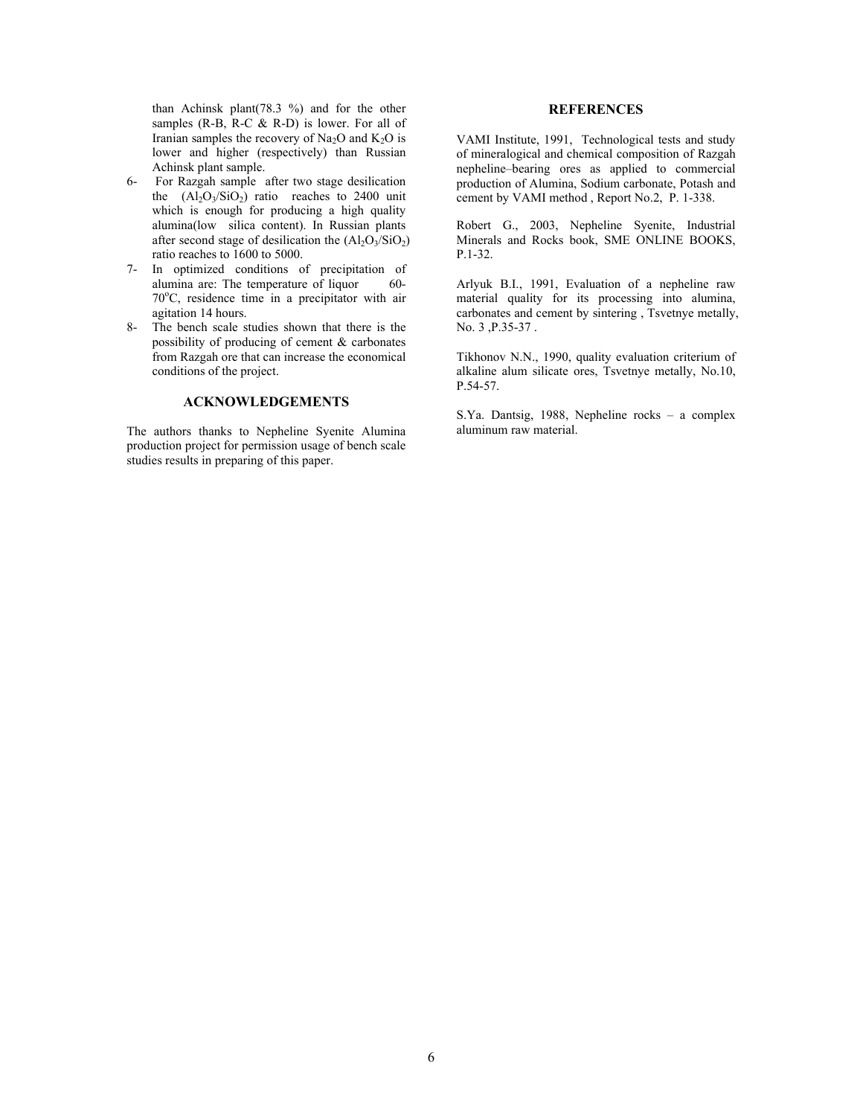than Achinsk plant(78.3 %) and for the other samples  $(R-B, R-C & R-D)$  is lower. For all of Iranian samples the recovery of Na<sub>2</sub>O and K<sub>2</sub>O is lower and higher (respectively) than Russian Achinsk plant sample.

- 6- For Razgah sample after two stage desilication the  $(AI_2O_3/SiO_2)$  ratio reaches to 2400 unit which is enough for producing a high quality alumina(low silica content). In Russian plants after second stage of desilication the  $(Al_2O_3/SiO_2)$ ratio reaches to 1600 to 5000.
- 7- In optimized conditions of precipitation of alumina are: The temperature of liquor 60-70°C, residence time in a precipitator with air agitation 14 hours.
- 8- The bench scale studies shown that there is the possibility of producing of cement & carbonates from Razgah ore that can increase the economical conditions of the project.

#### **ACKNOWLEDGEMENTS**

The authors thanks to Nepheline Syenite Alumina production project for permission usage of bench scale studies results in preparing of this paper.

### **REFERENCES**

VAMI Institute, 1991, Technological tests and study of mineralogical and chemical composition of Razgah nepheline–bearing ores as applied to commercial production of Alumina, Sodium carbonate, Potash and cement by VAMI method , Report No.2, P. 1-338.

Robert G., 2003, Nepheline Syenite, Industrial Minerals and Rocks book, SME ONLINE BOOKS, P.1-32.

Arlyuk B.I., 1991, Evaluation of a nepheline raw material quality for its processing into alumina, carbonates and cement by sintering , Tsvetnye metally, No. 3 ,P.35-37 .

Tikhonov N.N., 1990, quality evaluation criterium of alkaline alum silicate ores, Tsvetnye metally, No.10, P.54-57.

S.Ya. Dantsig, 1988, Nepheline rocks – a complex aluminum raw material.